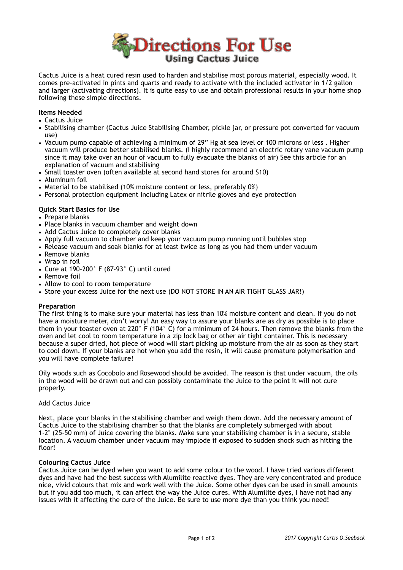

Cactus Juice is a heat cured resin used to harden and stabilise most porous material, especially wood. It comes pre-activated in pints and quarts and ready to activate with the included activator in 1/2 gallon and larger (activating directions). It is quite easy to use and obtain professional results in your home shop following these simple directions.

# **Items Needed**

- Cactus Juice
- Stabilising chamber (Cactus Juice Stabilising Chamber, pickle jar, or pressure pot converted for vacuum use)
- Vacuum pump capable of achieving a minimum of 29" Hg at sea level or 100 microns or less . Higher vacuum will produce better stabilised blanks. (I highly recommend an electric rotary vane vacuum pump since it may take over an hour of vacuum to fully evacuate the blanks of air) See this article for an explanation of vacuum and stabilising
- Small toaster oven (often available at second hand stores for around \$10)
- Aluminum foil
- Material to be stabilised (10% moisture content or less, preferably 0%)
- Personal protection equipment including Latex or nitrile gloves and eye protection

## **Quick Start Basics for Use**

- Prepare blanks
- Place blanks in vacuum chamber and weight down
- Add Cactus Juice to completely cover blanks
- Apply full vacuum to chamber and keep your vacuum pump running until bubbles stop
- Release vacuum and soak blanks for at least twice as long as you had them under vacuum
- Remove blanks
- Wrap in foil
- Cure at 190-200° F (87-93° C) until cured
- Remove foil
- Allow to cool to room temperature
- Store your excess Juice for the next use (DO NOT STORE IN AN AIR TIGHT GLASS JAR!)

## **Preparation**

The first thing is to make sure your material has less than 10% moisture content and clean. If you do not have a moisture meter, don't worry! An easy way to assure your blanks are as dry as possible is to place them in your toaster oven at 220° F (104° C) for a minimum of 24 hours. Then remove the blanks from the oven and let cool to room temperature in a zip lock bag or other air tight container. This is necessary because a super dried, hot piece of wood will start picking up moisture from the air as soon as they start to cool down. If your blanks are hot when you add the resin, it will cause premature polymerisation and you will have complete failure!

Oily woods such as Cocobolo and Rosewood should be avoided. The reason is that under vacuum, the oils in the wood will be drawn out and can possibly contaminate the Juice to the point it will not cure properly.

## Add Cactus Juice

Next, place your blanks in the stabilising chamber and weigh them down. Add the necessary amount of Cactus Juice to the stabilising chamber so that the blanks are completely submerged with about 1-2" (25-50 mm) of Juice covering the blanks. Make sure your stabilising chamber is in a secure, stable location. A vacuum chamber under vacuum may implode if exposed to sudden shock such as hitting the floor!

#### **Colouring Cactus Juice**

Cactus Juice can be dyed when you want to add some colour to the wood. I have tried various different dyes and have had the best success with Alumilite reactive dyes. They are very concentrated and produce nice, vivid colours that mix and work well with the Juice. Some other dyes can be used in small amounts but if you add too much, it can affect the way the Juice cures. With Alumilite dyes, I have not had any issues with it affecting the cure of the Juice. Be sure to use more dye than you think you need!